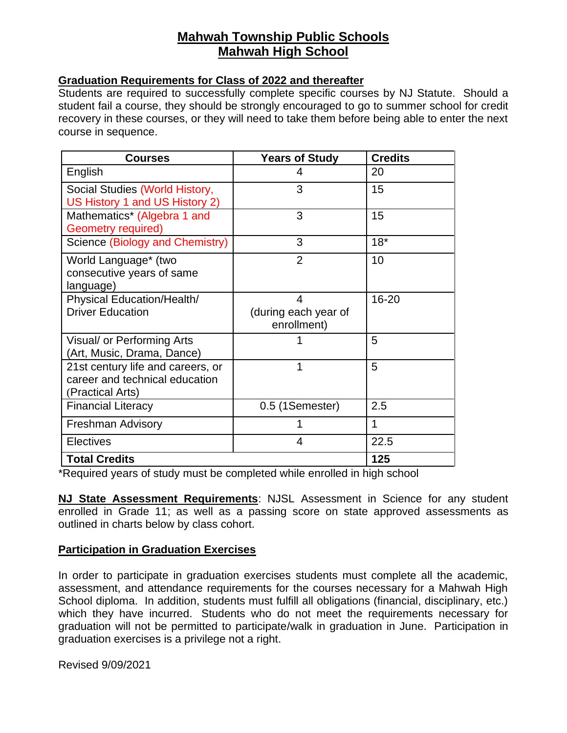# **Mahwah Township Public Schools Mahwah High School**

## **Graduation Requirements for Class of 2022 and thereafter**

Students are required to successfully complete specific courses by NJ Statute. Should a student fail a course, they should be strongly encouraged to go to summer school for credit recovery in these courses, or they will need to take them before being able to enter the next course in sequence.

| <b>Courses</b>                                                                          | <b>Years of Study</b>                    | <b>Credits</b> |
|-----------------------------------------------------------------------------------------|------------------------------------------|----------------|
| English                                                                                 | 4                                        | 20             |
| Social Studies (World History,<br>US History 1 and US History 2)                        | 3                                        | 15             |
| Mathematics* (Algebra 1 and<br><b>Geometry required)</b>                                | 3                                        | 15             |
| Science (Biology and Chemistry)                                                         | 3                                        | $18*$          |
| World Language* (two<br>consecutive years of same<br>language)                          | $\overline{2}$                           | 10             |
| <b>Physical Education/Health/</b><br><b>Driver Education</b>                            | 4<br>(during each year of<br>enrollment) | $16 - 20$      |
| Visual/ or Performing Arts<br>(Art, Music, Drama, Dance)                                |                                          | 5              |
| 21st century life and careers, or<br>career and technical education<br>(Practical Arts) | 1                                        | 5              |
| <b>Financial Literacy</b>                                                               | 0.5 (1Semester)                          | 2.5            |
| <b>Freshman Advisory</b>                                                                |                                          | 1              |
| <b>Electives</b>                                                                        | 4                                        | 22.5           |
| <b>Total Credits</b>                                                                    |                                          | 125            |

\*Required years of study must be completed while enrolled in high school

**NJ State Assessment Requirements**: NJSL Assessment in Science for any student enrolled in Grade 11; as well as a passing score on state approved assessments as outlined in charts below by class cohort.

## **Participation in Graduation Exercises**

In order to participate in graduation exercises students must complete all the academic, assessment, and attendance requirements for the courses necessary for a Mahwah High School diploma. In addition, students must fulfill all obligations (financial, disciplinary, etc.) which they have incurred. Students who do not meet the requirements necessary for graduation will not be permitted to participate/walk in graduation in June. Participation in graduation exercises is a privilege not a right.

Revised 9/09/2021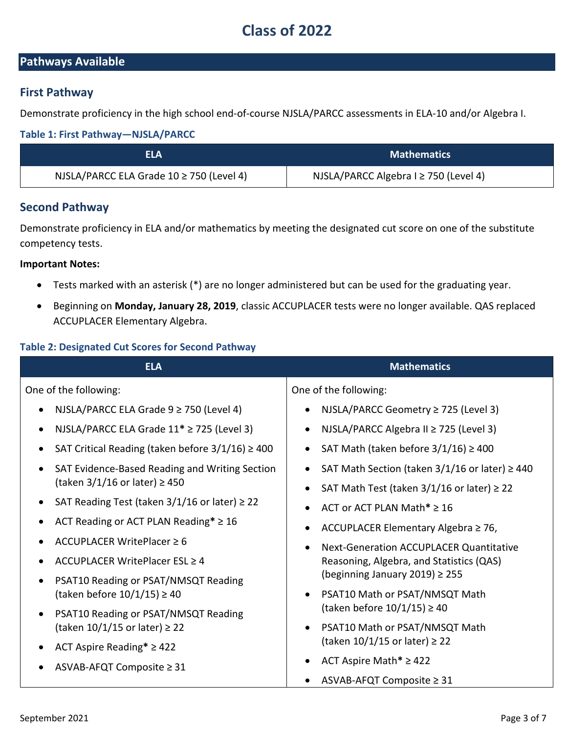# **Class of 2022**

## **Pathways Available**

## **First Pathway**

Demonstrate proficiency in the high school end-of-course NJSLA/PARCC assessments in ELA-10 and/or Algebra I.

#### **Table 1: First Pathway—NJSLA/PARCC**

| ELA                                          | <b>Mathematics</b>                        |
|----------------------------------------------|-------------------------------------------|
| NJSLA/PARCC ELA Grade $10 \ge 750$ (Level 4) | NJSLA/PARCC Algebra $I \ge 750$ (Level 4) |

## **Second Pathway**

Demonstrate proficiency in ELA and/or mathematics by meeting the designated cut score on one of the substitute competency tests.

#### **Important Notes:**

- Tests marked with an asterisk (\*) are no longer administered but can be used for the graduating year.
- Beginning on **Monday, January 28, 2019**, classic ACCUPLACER tests were no longer available. QAS replaced ACCUPLACER Elementary Algebra.

### **Table 2: Designated Cut Scores for Second Pathway**

| <b>ELA</b>                                                                                          | <b>Mathematics</b>                                                    |
|-----------------------------------------------------------------------------------------------------|-----------------------------------------------------------------------|
| One of the following:                                                                               | One of the following:                                                 |
| NJSLA/PARCC ELA Grade $9 \ge 750$ (Level 4)<br>$\bullet$                                            | NJSLA/PARCC Geometry ≥ 725 (Level 3)                                  |
| NJSLA/PARCC ELA Grade $11* \ge 725$ (Level 3)<br>$\bullet$                                          | NJSLA/PARCC Algebra II ≥ 725 (Level 3)                                |
| SAT Critical Reading (taken before $3/1/16$ ) $\geq$ 400<br>$\bullet$                               | SAT Math (taken before $3/1/16$ ) $\geq 400$                          |
| SAT Evidence-Based Reading and Writing Section<br>$\bullet$<br>(taken $3/1/16$ or later) $\geq 450$ | SAT Math Section (taken $3/1/16$ or later) $\geq 440$                 |
|                                                                                                     | SAT Math Test (taken $3/1/16$ or later) $\geq 22$                     |
| SAT Reading Test (taken $3/1/16$ or later) $\geq 22$                                                | ACT or ACT PLAN Math $* \geq 16$                                      |
| ACT Reading or ACT PLAN Reading* $\geq 16$                                                          | ACCUPLACER Elementary Algebra ≥ 76,                                   |
| ACCUPLACER WritePlacer ≥ 6                                                                          | Next-Generation ACCUPLACER Quantitative                               |
| ACCUPLACER WritePlacer ESL ≥ 4                                                                      | Reasoning, Algebra, and Statistics (QAS)                              |
| PSAT10 Reading or PSAT/NMSQT Reading<br>٠                                                           | (beginning January 2019) $\geq$ 255                                   |
| (taken before $10/1/15$ ) $\geq 40$                                                                 | PSAT10 Math or PSAT/NMSQT Math<br>(taken before $10/1/15$ ) $\geq 40$ |
| PSAT10 Reading or PSAT/NMSQT Reading<br>٠<br>(taken $10/1/15$ or later) $\geq 22$                   | PSAT10 Math or PSAT/NMSQT Math                                        |
|                                                                                                     | (taken $10/1/15$ or later) $\geq 22$                                  |
| ACT Aspire Reading* $\geq$ 422                                                                      | ACT Aspire Math* $\ge$ 422                                            |
| ASVAB-AFQT Composite ≥ 31                                                                           | ASVAB-AFQT Composite ≥ 31                                             |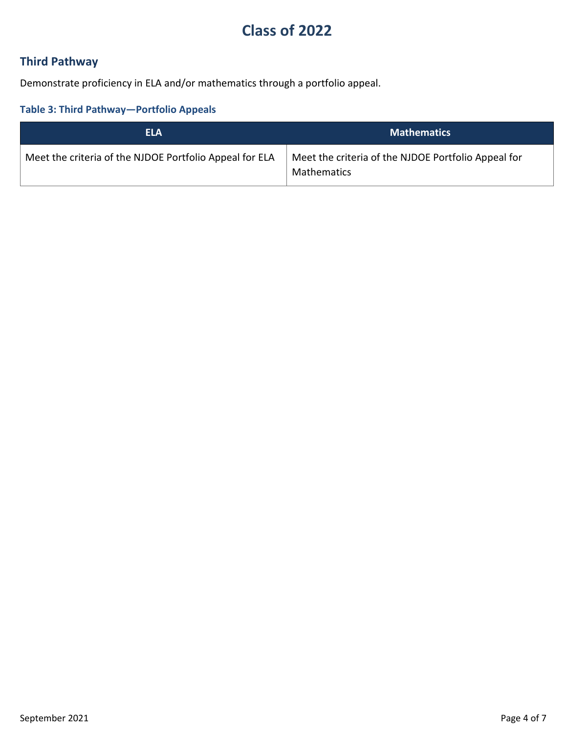# **Class of 2022**

# **Third Pathway**

Demonstrate proficiency in ELA and/or mathematics through a portfolio appeal.

# **Table 3: Third Pathway—Portfolio Appeals**

| <b>ELA</b>                                              | <b>Mathematics</b>                                                 |
|---------------------------------------------------------|--------------------------------------------------------------------|
| Meet the criteria of the NJDOE Portfolio Appeal for ELA | Meet the criteria of the NJDOE Portfolio Appeal for<br>Mathematics |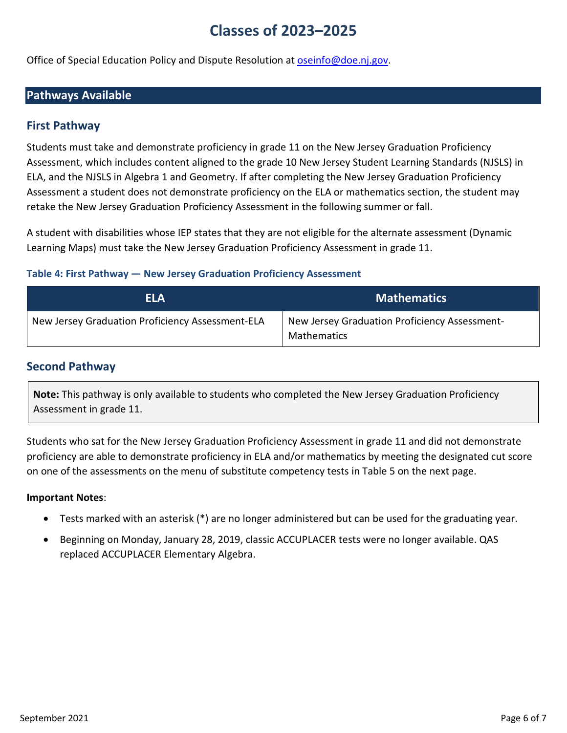# **Classes of 2023–2025**

Office of Special Education Policy and Dispute Resolution at [oseinfo@doe.nj.gov.](mailto:oseinfo@doe.nj.gov)

## **Pathways Available**

## **First Pathway**

Students must take and demonstrate proficiency in grade 11 on the New Jersey Graduation Proficiency Assessment, which includes content aligned to the grade 10 New Jersey Student Learning Standards (NJSLS) in ELA, and the NJSLS in Algebra 1 and Geometry. If after completing the New Jersey Graduation Proficiency Assessment a student does not demonstrate proficiency on the ELA or mathematics section, the student may retake the New Jersey Graduation Proficiency Assessment in the following summer or fall.

A student with disabilities whose IEP states that they are not eligible for the alternate assessment (Dynamic Learning Maps) must take the New Jersey Graduation Proficiency Assessment in grade 11.

### **Table 4: First Pathway — New Jersey Graduation Proficiency Assessment**

| <b>ELA</b>                                       | <b>Mathematics</b>                                                  |
|--------------------------------------------------|---------------------------------------------------------------------|
| New Jersey Graduation Proficiency Assessment-ELA | New Jersey Graduation Proficiency Assessment-<br><b>Mathematics</b> |

### **Second Pathway**

**Note:** This pathway is only available to students who completed the New Jersey Graduation Proficiency Assessment in grade 11.

Students who sat for the New Jersey Graduation Proficiency Assessment in grade 11 and did not demonstrate proficiency are able to demonstrate proficiency in ELA and/or mathematics by meeting the designated cut score on one of the assessments on the menu of substitute competency tests in Table 5 on the next page.

#### **Important Notes**:

- Tests marked with an asterisk (\*) are no longer administered but can be used for the graduating year.
- Beginning on Monday, January 28, 2019, classic ACCUPLACER tests were no longer available. QAS replaced ACCUPLACER Elementary Algebra.